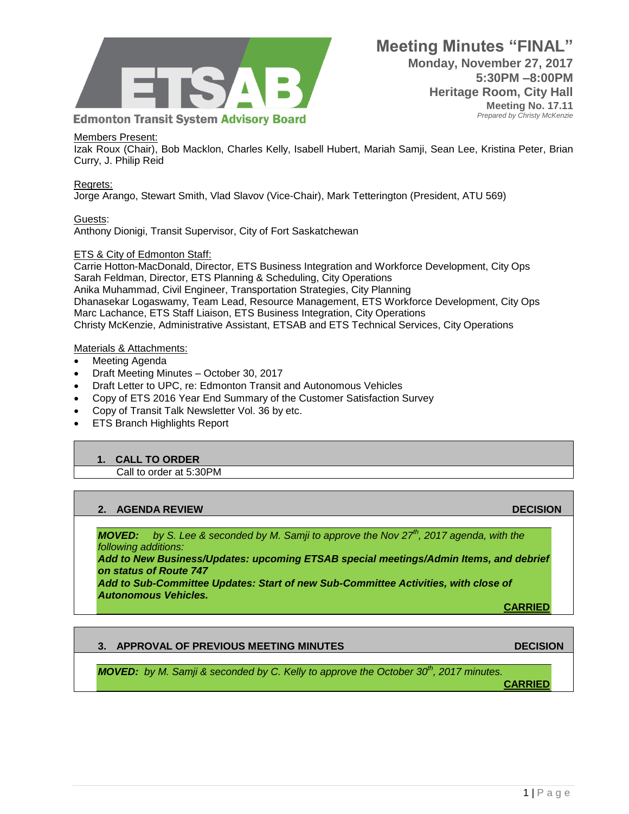

#### Members Present:

Izak Roux (Chair), Bob Macklon, Charles Kelly, Isabell Hubert, Mariah Samji, Sean Lee, Kristina Peter, Brian Curry, J. Philip Reid

#### Regrets:

Jorge Arango, Stewart Smith, Vlad Slavov (Vice-Chair), Mark Tetterington (President, ATU 569)

### Guests:

Anthony Dionigi, Transit Supervisor, City of Fort Saskatchewan

### ETS & City of Edmonton Staff:

Carrie Hotton-MacDonald, Director, ETS Business Integration and Workforce Development, City Ops Sarah Feldman, Director, ETS Planning & Scheduling, City Operations Anika Muhammad, Civil Engineer, Transportation Strategies, City Planning Dhanasekar Logaswamy, Team Lead, Resource Management, ETS Workforce Development, City Ops Marc Lachance, ETS Staff Liaison, ETS Business Integration, City Operations Christy McKenzie, Administrative Assistant, ETSAB and ETS Technical Services, City Operations

### Materials & Attachments:

- Meeting Agenda
- Draft Meeting Minutes October 30, 2017
- Draft Letter to UPC, re: Edmonton Transit and Autonomous Vehicles
- Copy of ETS 2016 Year End Summary of the Customer Satisfaction Survey
- Copy of Transit Talk Newsletter Vol. 36 by etc.
- ETS Branch Highlights Report

## **1. CALL TO ORDER**

Call to order at 5:30PM

## **2. AGENDA REVIEW DECISION**

*MOVED: by S. Lee & seconded by M. Samji to approve the Nov 27th, 2017 agenda, with the following additions:* 

*Add to New Business/Updates: upcoming ETSAB special meetings/Admin Items, and debrief on status of Route 747* 

*Add to Sub-Committee Updates: Start of new Sub-Committee Activities, with close of Autonomous Vehicles.*

**CARRIED**

## **3. APPROVAL OF PREVIOUS MEETING MINUTES DECISION**

*MOVED: by M. Samji & seconded by C. Kelly to approve the October 30th, 2017 minutes.*

**CARRIED**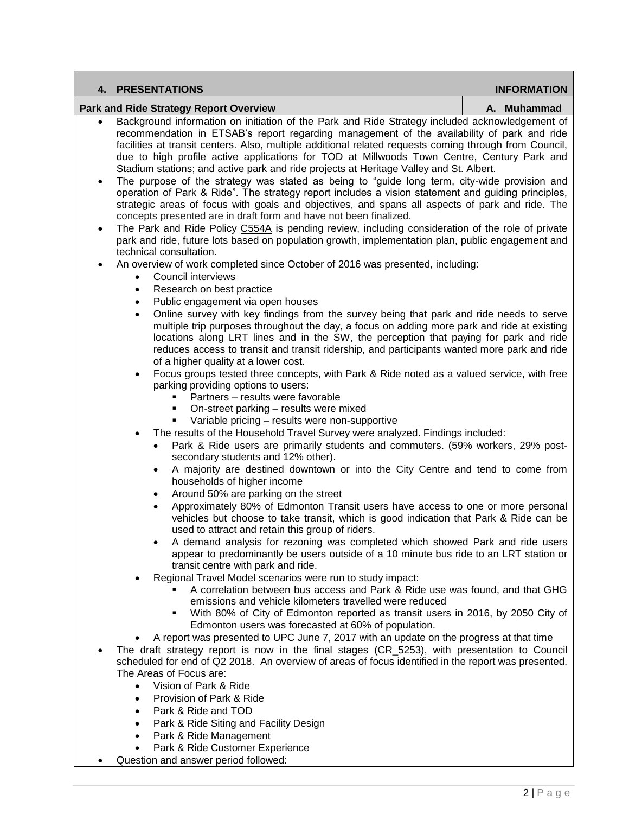| 4. PRESENTATIONS                                                                               | <b>INFORMATION</b> |
|------------------------------------------------------------------------------------------------|--------------------|
| Park and Ride Strategy Report Overview                                                         | A. Muhammad        |
| Reckarging information on initiation of the Dark and Dide Strategy included acknowledgement of |                    |

- Background information on initiation of the Park and Ride Strategy included acknowledgement of recommendation in ETSAB's report regarding management of the availability of park and ride facilities at transit centers. Also, multiple additional related requests coming through from Council, due to high profile active applications for TOD at Millwoods Town Centre, Century Park and Stadium stations; and active park and ride projects at Heritage Valley and St. Albert.
- The purpose of the strategy was stated as being to "guide long term, city-wide provision and operation of Park & Ride". The strategy report includes a vision statement and guiding principles, strategic areas of focus with goals and objectives, and spans all aspects of park and ride. The concepts presented are in draft form and have not been finalized.
- The Park and Ride Policy [C554A](https://www.edmonton.ca/transportation/PoliciesDirectives/C554A.pdf) is pending review, including consideration of the role of private park and ride, future lots based on population growth, implementation plan, public engagement and technical consultation.
- An overview of work completed since October of 2016 was presented, including:
	- Council interviews
	- Research on best practice
	- Public engagement via open houses
	- Online survey with key findings from the survey being that park and ride needs to serve multiple trip purposes throughout the day, a focus on adding more park and ride at existing locations along LRT lines and in the SW, the perception that paying for park and ride reduces access to transit and transit ridership, and participants wanted more park and ride of a higher quality at a lower cost.
	- Focus groups tested three concepts, with Park & Ride noted as a valued service, with free parking providing options to users:
		- Partners results were favorable
		- On-street parking results were mixed
		- **Variable pricing results were non-supportive**
	- The results of the Household Travel Survey were analyzed. Findings included:
		- Park & Ride users are primarily students and commuters. (59% workers, 29% postsecondary students and 12% other).
		- A majority are destined downtown or into the City Centre and tend to come from households of higher income
		- Around 50% are parking on the street
		- Approximately 80% of Edmonton Transit users have access to one or more personal vehicles but choose to take transit, which is good indication that Park & Ride can be used to attract and retain this group of riders.
		- A demand analysis for rezoning was completed which showed Park and ride users appear to predominantly be users outside of a 10 minute bus ride to an LRT station or transit centre with park and ride.
	- Regional Travel Model scenarios were run to study impact:
		- A correlation between bus access and Park & Ride use was found, and that GHG emissions and vehicle kilometers travelled were reduced
		- With 80% of City of Edmonton reported as transit users in 2016, by 2050 City of Edmonton users was forecasted at 60% of population.
	- A report was presented to UPC June 7, 2017 with an update on the progress at that time
- The draft strategy report is now in the final stages (CR\_5253), with presentation to Council scheduled for end of Q2 2018. An overview of areas of focus identified in the report was presented. The Areas of Focus are:
	- Vision of Park & Ride
	- Provision of Park & Ride
	- Park & Ride and TOD
	- Park & Ride Siting and Facility Design
	- Park & Ride Management
	- Park & Ride Customer Experience
- Question and answer period followed: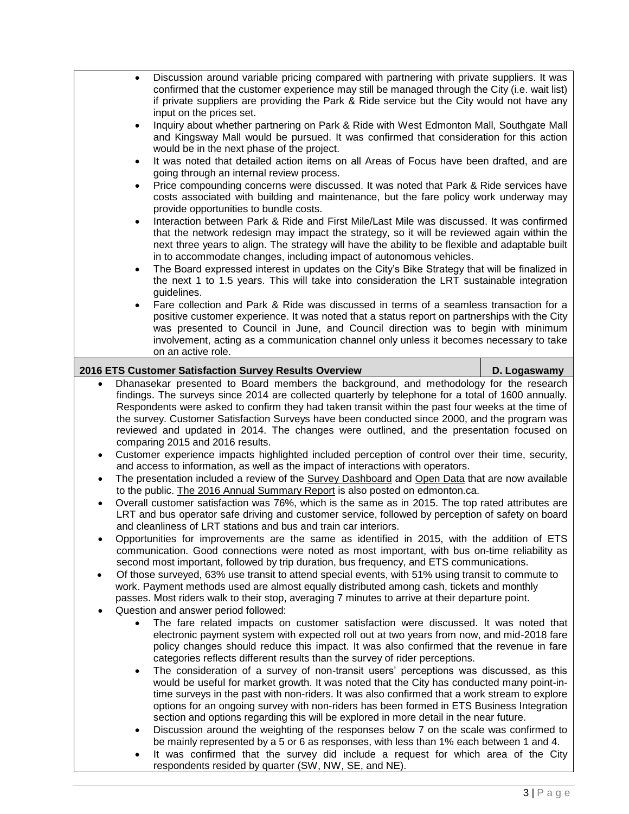| Discussion around variable pricing compared with partnering with private suppliers. It was<br>confirmed that the customer experience may still be managed through the City (i.e. wait list)<br>if private suppliers are providing the Park & Ride service but the City would not have any<br>input on the prices set.<br>Inquiry about whether partnering on Park & Ride with West Edmonton Mall, Southgate Mall<br>$\bullet$<br>and Kingsway Mall would be pursued. It was confirmed that consideration for this action<br>would be in the next phase of the project.<br>It was noted that detailed action items on all Areas of Focus have been drafted, and are<br>$\bullet$<br>going through an internal review process.<br>Price compounding concerns were discussed. It was noted that Park & Ride services have<br>$\bullet$<br>costs associated with building and maintenance, but the fare policy work underway may<br>provide opportunities to bundle costs.<br>Interaction between Park & Ride and First Mile/Last Mile was discussed. It was confirmed<br>$\bullet$<br>that the network redesign may impact the strategy, so it will be reviewed again within the<br>next three years to align. The strategy will have the ability to be flexible and adaptable built<br>in to accommodate changes, including impact of autonomous vehicles.<br>The Board expressed interest in updates on the City's Bike Strategy that will be finalized in<br>$\bullet$<br>the next 1 to 1.5 years. This will take into consideration the LRT sustainable integration<br>guidelines.<br>Fare collection and Park & Ride was discussed in terms of a seamless transaction for a<br>$\bullet$<br>positive customer experience. It was noted that a status report on partnerships with the City<br>was presented to Council in June, and Council direction was to begin with minimum<br>involvement, acting as a communication channel only unless it becomes necessary to take |              |  |
|-----------------------------------------------------------------------------------------------------------------------------------------------------------------------------------------------------------------------------------------------------------------------------------------------------------------------------------------------------------------------------------------------------------------------------------------------------------------------------------------------------------------------------------------------------------------------------------------------------------------------------------------------------------------------------------------------------------------------------------------------------------------------------------------------------------------------------------------------------------------------------------------------------------------------------------------------------------------------------------------------------------------------------------------------------------------------------------------------------------------------------------------------------------------------------------------------------------------------------------------------------------------------------------------------------------------------------------------------------------------------------------------------------------------------------------------------------------------------------------------------------------------------------------------------------------------------------------------------------------------------------------------------------------------------------------------------------------------------------------------------------------------------------------------------------------------------------------------------------------------------------------------------------------------------------------------------------------------------------|--------------|--|
| on an active role.                                                                                                                                                                                                                                                                                                                                                                                                                                                                                                                                                                                                                                                                                                                                                                                                                                                                                                                                                                                                                                                                                                                                                                                                                                                                                                                                                                                                                                                                                                                                                                                                                                                                                                                                                                                                                                                                                                                                                          |              |  |
| 2016 ETS Customer Satisfaction Survey Results Overview                                                                                                                                                                                                                                                                                                                                                                                                                                                                                                                                                                                                                                                                                                                                                                                                                                                                                                                                                                                                                                                                                                                                                                                                                                                                                                                                                                                                                                                                                                                                                                                                                                                                                                                                                                                                                                                                                                                      | D. Logaswamy |  |
| Dhanasekar presented to Board members the background, and methodology for the research<br>$\bullet$<br>findings. The surveys since 2014 are collected quarterly by telephone for a total of 1600 annually.<br>Respondents were asked to confirm they had taken transit within the past four weeks at the time of<br>the survey. Customer Satisfaction Surveys have been conducted since 2000, and the program was<br>reviewed and updated in 2014. The changes were outlined, and the presentation focused on<br>comparing 2015 and 2016 results.<br>Customer experience impacts highlighted included perception of control over their time, security,<br>and access to information, as well as the impact of interactions with operators.<br>The presentation included a review of the Survey Dashboard and Open Data that are now available<br>to the public. The 2016 Annual Summary Report is also posted on edmonton.ca.<br>Overall customer satisfaction was 76%, which is the same as in 2015. The top rated attributes are<br>LRT and bus operator safe driving and customer service, followed by perception of safety on board<br>and cleanliness of LRT stations and bus and train car interiors.<br>Opportunities for improvements are the same as identified in 2015, with the addition of ETS<br>communication. Good connections were noted as most important, with bus on-time reliability as<br>second most important, followed by trip duration, bus frequency, and ETS communications.<br>Of those surveyed, 63% use transit to attend special events, with 51% using transit to commute to<br>$\bullet$<br>work. Payment methods used are almost equally distributed among cash, tickets and monthly<br>passes. Most riders walk to their stop, averaging 7 minutes to arrive at their departure point.<br>Question and answer period followed:                                                                                                           |              |  |
| The fare related impacts on customer satisfaction were discussed. It was noted that<br>$\bullet$<br>electronic payment system with expected roll out at two years from now, and mid-2018 fare<br>policy changes should reduce this impact. It was also confirmed that the revenue in fare<br>categories reflects different results than the survey of rider perceptions.<br>The consideration of a survey of non-transit users' perceptions was discussed, as this<br>$\bullet$<br>would be useful for market growth. It was noted that the City has conducted many point-in-<br>time surveys in the past with non-riders. It was also confirmed that a work stream to explore<br>options for an ongoing survey with non-riders has been formed in ETS Business Integration<br>section and options regarding this will be explored in more detail in the near future.<br>Discussion around the weighting of the responses below 7 on the scale was confirmed to<br>$\bullet$<br>be mainly represented by a 5 or 6 as responses, with less than 1% each between 1 and 4.<br>It was confirmed that the survey did include a request for which area of the City<br>$\bullet$<br>respondents resided by quarter (SW, NW, SE, and NE).                                                                                                                                                                                                                                                                                                                                                                                                                                                                                                                                                                                                                                                                                                                                           |              |  |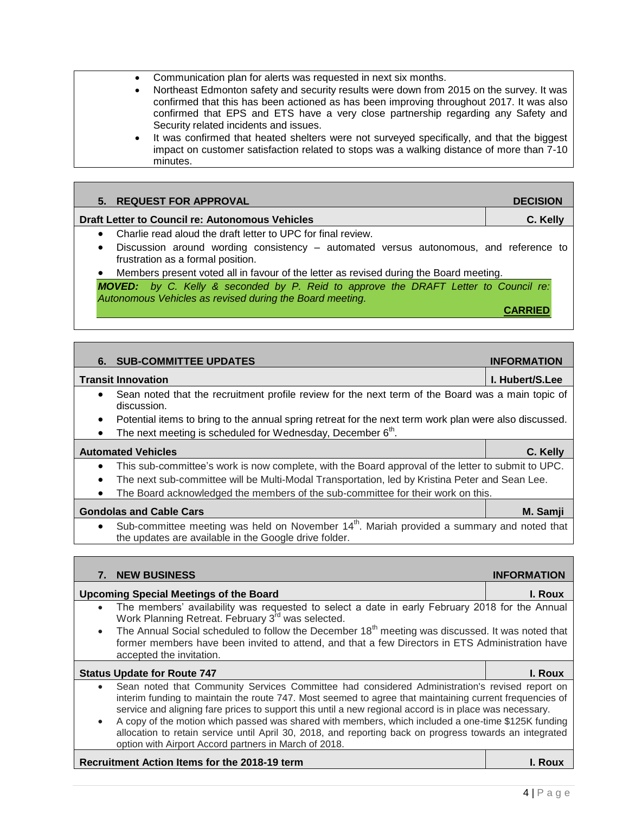- Communication plan for alerts was requested in next six months.
- Northeast Edmonton safety and security results were down from 2015 on the survey. It was confirmed that this has been actioned as has been improving throughout 2017. It was also confirmed that EPS and ETS have a very close partnership regarding any Safety and Security related incidents and issues.
- It was confirmed that heated shelters were not surveyed specifically, and that the biggest impact on customer satisfaction related to stops was a walking distance of more than 7-10 minutes.

| 5. REQUEST FOR APPROVAL                                                                                                                                | <b>DECISION</b> |
|--------------------------------------------------------------------------------------------------------------------------------------------------------|-----------------|
| Draft Letter to Council re: Autonomous Vehicles                                                                                                        | C. Kelly        |
| Charlie read aloud the draft letter to UPC for final review.                                                                                           |                 |
| Discussion around wording consistency – automated versus autonomous, and reference to<br>٠<br>frustration as a formal position.                        |                 |
| Members present voted all in favour of the letter as revised during the Board meeting.                                                                 |                 |
| <b>MOVED:</b> by C. Kelly & seconded by P. Reid to approve the DRAFT Letter to Council re:<br>Autonomous Vehicles as revised during the Board meeting. |                 |
|                                                                                                                                                        |                 |
|                                                                                                                                                        |                 |
|                                                                                                                                                        |                 |

|                                                                                                                                                                              | <b>6. SUB-COMMITTEE UPDATES</b>                                                                                                                                                                                                                                                         | <b>INFORMATION</b>     |
|------------------------------------------------------------------------------------------------------------------------------------------------------------------------------|-----------------------------------------------------------------------------------------------------------------------------------------------------------------------------------------------------------------------------------------------------------------------------------------|------------------------|
|                                                                                                                                                                              | Transit Innovation                                                                                                                                                                                                                                                                      | <b>I. Hubert/S.Lee</b> |
| $\bullet$                                                                                                                                                                    | Sean noted that the recruitment profile review for the next term of the Board was a main topic of<br>discussion.                                                                                                                                                                        |                        |
| $\bullet$                                                                                                                                                                    | Potential items to bring to the annual spring retreat for the next term work plan were also discussed.                                                                                                                                                                                  |                        |
| $\bullet$                                                                                                                                                                    | The next meeting is scheduled for Wednesday, December 6 <sup>th</sup> .                                                                                                                                                                                                                 |                        |
|                                                                                                                                                                              | <b>Automated Vehicles</b>                                                                                                                                                                                                                                                               | C. Kelly               |
| $\bullet$<br>$\bullet$<br>$\bullet$                                                                                                                                          | This sub-committee's work is now complete, with the Board approval of the letter to submit to UPC.<br>The next sub-committee will be Multi-Modal Transportation, led by Kristina Peter and Sean Lee.<br>The Board acknowledged the members of the sub-committee for their work on this. |                        |
|                                                                                                                                                                              | <b>Gondolas and Cable Cars</b>                                                                                                                                                                                                                                                          | M. Samji               |
| Sub-committee meeting was held on November 14 <sup>th</sup> . Mariah provided a summary and noted that<br>$\bullet$<br>the updates are available in the Google drive folder. |                                                                                                                                                                                                                                                                                         |                        |
|                                                                                                                                                                              |                                                                                                                                                                                                                                                                                         |                        |
|                                                                                                                                                                              |                                                                                                                                                                                                                                                                                         |                        |
| 7.                                                                                                                                                                           | <b>NEW BUSINESS</b>                                                                                                                                                                                                                                                                     | <b>INFORMATION</b>     |
|                                                                                                                                                                              | <b>Upcoming Special Meetings of the Board</b>                                                                                                                                                                                                                                           | I. Roux                |

- The members' availability was requested to select a date in early February 2018 for the Annual Work Planning Retreat. February 3<sup>rd</sup> was selected.
- The Annual Social scheduled to follow the December 18<sup>th</sup> meeting was discussed. It was noted that former members have been invited to attend, and that a few Directors in ETS Administration have accepted the invitation.

| <b>Status Update for Route 747</b>                                                                      | I. Roux |
|---------------------------------------------------------------------------------------------------------|---------|
| Sean noted that Community Services Committee had considered Administration's revised report on          |         |
| interim funding to maintain the route 747. Most seemed to agree that maintaining current frequencies of |         |
| service and aligning fare prices to support this until a new regional accord is in place was necessary. |         |
| A copy of the motion which passed was shared with members, which included a one-time \$125K funding     |         |
| allocation to retain service until April 30, 2018, and reporting back on progress towards an integrated |         |
| option with Airport Accord partners in March of 2018.                                                   |         |

# **Recruitment Action Items for the 2018-19 term I. Roux**